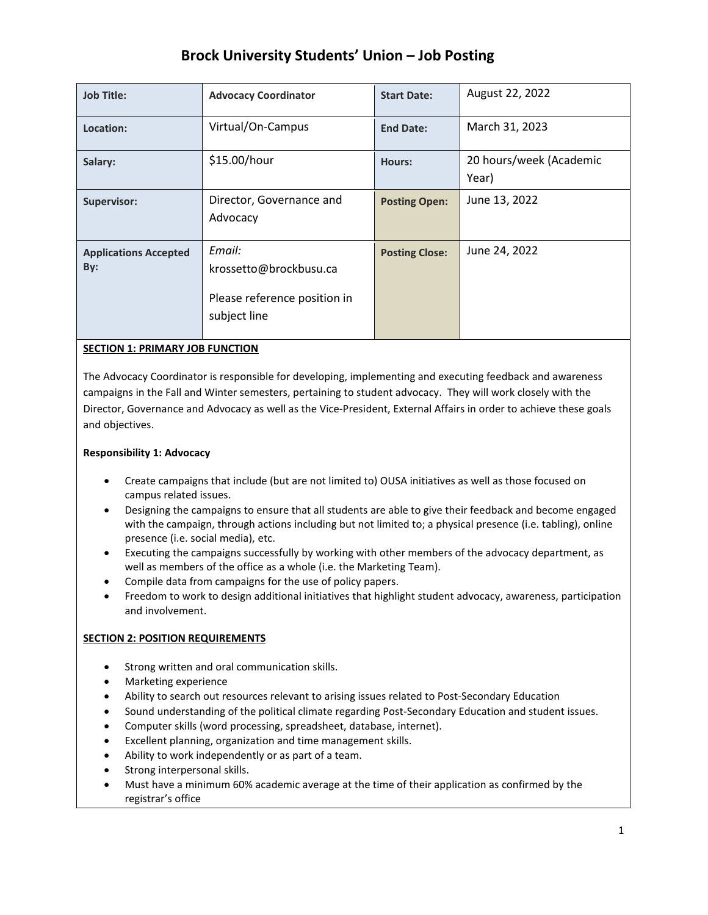# **Brock University Students' Union – Job Posting**

| <b>Job Title:</b>                   | <b>Advocacy Coordinator</b>                                                      | <b>Start Date:</b>    | August 22, 2022                  |
|-------------------------------------|----------------------------------------------------------------------------------|-----------------------|----------------------------------|
| Location:                           | Virtual/On-Campus                                                                | <b>End Date:</b>      | March 31, 2023                   |
| Salary:                             | \$15.00/hour                                                                     | <b>Hours:</b>         | 20 hours/week (Academic<br>Year) |
| <b>Supervisor:</b>                  | Director, Governance and<br>Advocacy                                             | <b>Posting Open:</b>  | June 13, 2022                    |
| <b>Applications Accepted</b><br>By: | Email:<br>krossetto@brockbusu.ca<br>Please reference position in<br>subject line | <b>Posting Close:</b> | June 24, 2022                    |

# **SECTION 1: PRIMARY JOB FUNCTION**

The Advocacy Coordinator is responsible for developing, implementing and executing feedback and awareness campaigns in the Fall and Winter semesters, pertaining to student advocacy. They will work closely with the Director, Governance and Advocacy as well as the Vice-President, External Affairs in order to achieve these goals and objectives.

# **Responsibility 1: Advocacy**

- Create campaigns that include (but are not limited to) OUSA initiatives as well as those focused on campus related issues.
- Designing the campaigns to ensure that all students are able to give their feedback and become engaged with the campaign, through actions including but not limited to; a physical presence (i.e. tabling), online presence (i.e. social media), etc.
- Executing the campaigns successfully by working with other members of the advocacy department, as well as members of the office as a whole (i.e. the Marketing Team).
- Compile data from campaigns for the use of policy papers.
- Freedom to work to design additional initiatives that highlight student advocacy, awareness, participation and involvement.

# **SECTION 2: POSITION REQUIREMENTS**

- Strong written and oral communication skills.
- Marketing experience
- Ability to search out resources relevant to arising issues related to Post-Secondary Education
- Sound understanding of the political climate regarding Post-Secondary Education and student issues.
- Computer skills (word processing, spreadsheet, database, internet).
- Excellent planning, organization and time management skills.
- Ability to work independently or as part of a team.
- Strong interpersonal skills.
- Must have a minimum 60% academic average at the time of their application as confirmed by the registrar's office